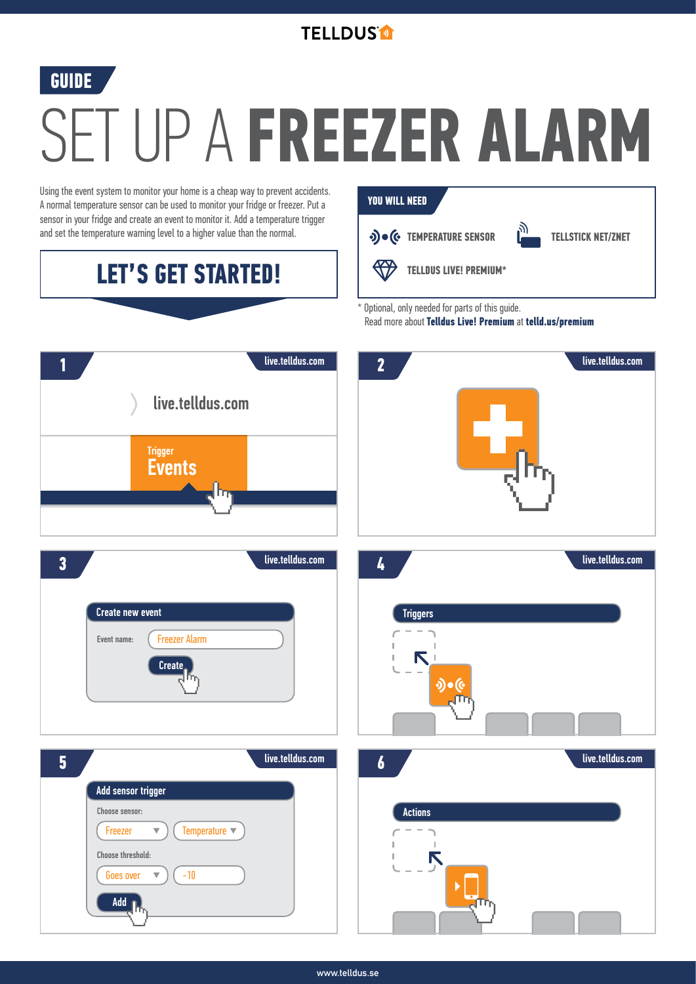

### **GUIDE**

# SET UP A **FREEZER ALARM**

Using the event system to monitor your home is a cheap way to prevent accidents. A normal temperature sensor can be used to monitor your fridge or freezer. Put a sensor in your fridge and create an event to monitor it. Add a temperature trigger and set the temperature warning level to a higher value than the normal.

# **LET'S GET STARTED!**

#### **YOU WILL NEED**







**TELLSTICK NET/ZNET**



\* Optional, only needed for parts of this guide.

Read more about **Telldus Live! Premium** at **telld.us/premium**



**www.telldus.se**